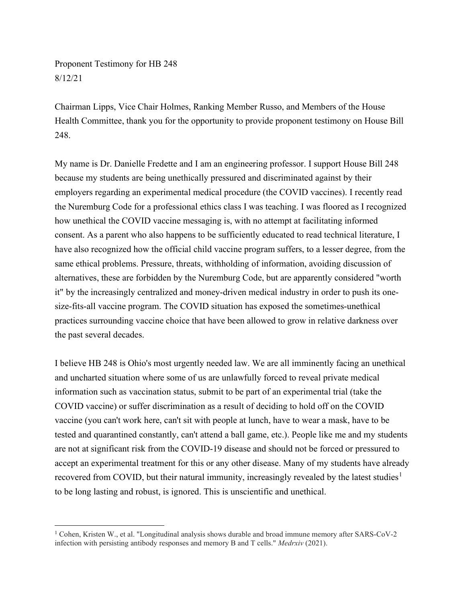Proponent Testimony for HB 248 8/12/21

Chairman Lipps, Vice Chair Holmes, Ranking Member Russo, and Members of the House Health Committee, thank you for the opportunity to provide proponent testimony on House Bill 248.

My name is Dr. Danielle Fredette and I am an engineering professor. I support House Bill 248 because my students are being unethically pressured and discriminated against by their employers regarding an experimental medical procedure (the COVID vaccines). I recently read the Nuremburg Code for a professional ethics class I was teaching. I was floored as I recognized how unethical the COVID vaccine messaging is, with no attempt at facilitating informed consent. As a parent who also happens to be sufficiently educated to read technical literature, I have also recognized how the official child vaccine program suffers, to a lesser degree, from the same ethical problems. Pressure, threats, withholding of information, avoiding discussion of alternatives, these are forbidden by the Nuremburg Code, but are apparently considered "worth it" by the increasingly centralized and money-driven medical industry in order to push its onesize-fits-all vaccine program. The COVID situation has exposed the sometimes-unethical practices surrounding vaccine choice that have been allowed to grow in relative darkness over the past several decades.

I believe HB 248 is Ohio's most urgently needed law. We are all imminently facing an unethical and uncharted situation where some of us are unlawfully forced to reveal private medical information such as vaccination status, submit to be part of an experimental trial (take the COVID vaccine) or suffer discrimination as a result of deciding to hold off on the COVID vaccine (you can't work here, can't sit with people at lunch, have to wear a mask, have to be tested and quarantined constantly, can't attend a ball game, etc.). People like me and my students are not at significant risk from the COVID-19 disease and should not be forced or pressured to accept an experimental treatment for this or any other disease. Many of my students have already recovered from COVID, but their natural immunity, increasingly revealed by the latest studies<sup>1</sup> to be long lasting and robust, is ignored. This is unscientific and unethical.

<sup>1</sup> Cohen, Kristen W., et al. "Longitudinal analysis shows durable and broad immune memory after SARS-CoV-2 infection with persisting antibody responses and memory B and T cells." Medrxiv (2021).